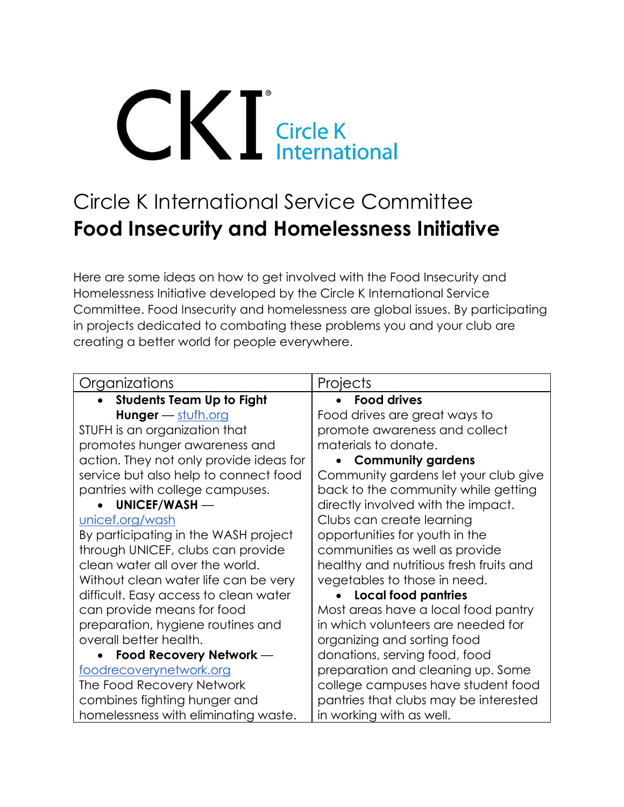## **CICIER Circle K**<br> **Circle K**<br> **International**

## Circle K International Service Committee **Food Insecurity and Homelessness Initiative**

Here are some ideas on how to get involved with the Food Insecurity and Homelessness Initiative developed by the Circle K International Service Committee. Food Insecurity and homelessness are global issues. By participating in projects dedicated to combating these problems you and your club are creating a better world for people everywhere.

| Organizations                           | Projects                                |
|-----------------------------------------|-----------------------------------------|
| <b>Students Team Up to Fight</b>        | <b>Food drives</b>                      |
| <b>Hunger</b> $-$ stufh.org             | Food drives are great ways to           |
| STUFH is an organization that           | promote awareness and collect           |
| promotes hunger awareness and           | materials to donate.                    |
| action. They not only provide ideas for | <b>Community gardens</b>                |
| service but also help to connect food   | Community gardens let your club give    |
| pantries with college campuses.         | back to the community while getting     |
| UNICEF/WASH-                            | directly involved with the impact.      |
| unicef.org/wash                         | Clubs can create learning               |
| By participating in the WASH project    | opportunities for youth in the          |
| through UNICEF, clubs can provide       | communities as well as provide          |
| clean water all over the world.         | healthy and nutritious fresh fruits and |
| Without clean water life can be very    | vegetables to those in need.            |
| difficult. Easy access to clean water   | <b>Local food pantries</b>              |
| can provide means for food              | Most areas have a local food pantry     |
| preparation, hygiene routines and       | in which volunteers are needed for      |
| overall better health.                  | organizing and sorting food             |
| Food Recovery Network -                 | donations, serving food, food           |
| foodrecoverynetwork.org                 | preparation and cleaning up. Some       |
| The Food Recovery Network               | college campuses have student food      |
| combines fighting hunger and            | pantries that clubs may be interested   |
| homelessness with eliminating waste.    | in working with as well.                |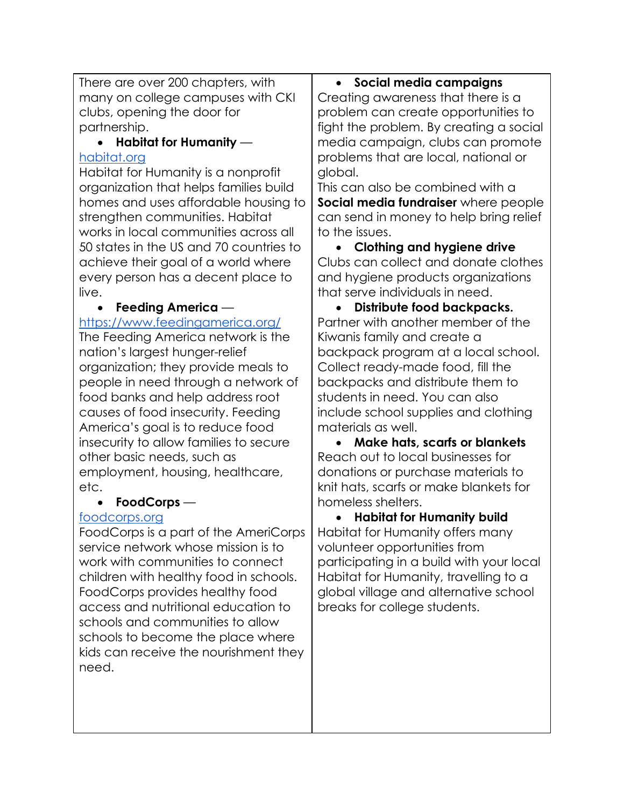| There are over 200 chapters, with              | · Social media campaigns                       |
|------------------------------------------------|------------------------------------------------|
| many on college campuses with CKI              | Creating awareness that there is a             |
| clubs, opening the door for                    | problem can create opportunities to            |
| partnership.                                   | fight the problem. By creating a social        |
| Habitat for Humanity —                         | media campaign, clubs can promote              |
| habitat.org                                    | problems that are local, national or           |
| Habitat for Humanity is a nonprofit            | global.                                        |
| organization that helps families build         | This can also be combined with a               |
| homes and uses affordable housing to           | Social media fundraiser where people           |
| strengthen communities. Habitat                | can send in money to help bring relief         |
| works in local communities across all          | to the issues.                                 |
| 50 states in the US and 70 countries to        | <b>Clothing and hygiene drive</b><br>$\bullet$ |
| achieve their goal of a world where            | Clubs can collect and donate clothes           |
| every person has a decent place to             | and hygiene products organizations             |
| live.                                          | that serve individuals in need.                |
| Feeding America —                              | Distribute food backpacks.<br>$\bullet$        |
| https://www.feedingamerica.org/                | Partner with another member of the             |
| The Feeding America network is the             | Kiwanis family and create a                    |
| nation's largest hunger-relief                 | backpack program at a local school.            |
| organization; they provide meals to            | Collect ready-made food, fill the              |
| people in need through a network of            | backpacks and distribute them to               |
| food banks and help address root               | students in need. You can also                 |
| causes of food insecurity. Feeding             | include school supplies and clothing           |
| America's goal is to reduce food               | materials as well.                             |
| insecurity to allow families to secure         | <b>Make hats, scarfs or blankets</b>           |
| other basic needs, such as                     | Reach out to local businesses for              |
| employment, housing, healthcare,               | donations or purchase materials to             |
| etc.                                           | knit hats, scarfs or make blankets for         |
| $FoodCorps$ —                                  | homeless shelters.                             |
| foodcorps.org                                  | <b>Habitat for Humanity build</b>              |
| FoodCorps is a part of the AmeriCorps          | Habitat for Humanity offers many               |
| service network whose mission is to            | volunteer opportunities from                   |
| work with communities to connect               | participating in a build with your local       |
| children with healthy food in schools.         | Habitat for Humanity, travelling to a          |
| FoodCorps provides healthy food                | global village and alternative school          |
| access and nutritional education to            | breaks for college students.                   |
| schools and communities to allow               |                                                |
| schools to become the place where              |                                                |
| kids can receive the nourishment they<br>need. |                                                |
|                                                |                                                |
|                                                |                                                |